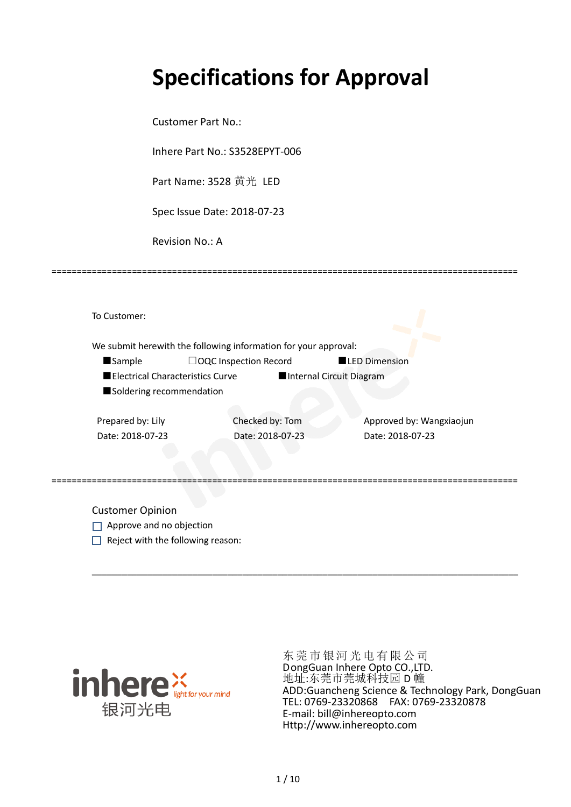# **Specifications for Approval**

Customer Part No.:

Inhere Part No.: S3528EPYT-006

Part Name: 3528 黄光 LED

Spec Issue Date: 2018-07-23

Revision No.: A

|                                  | We submit herewith the following information for your approval: |                          |
|----------------------------------|-----------------------------------------------------------------|--------------------------|
| <b>Sample</b>                    | $\Box$ OQC Inspection Record                                    | <b>LED Dimension</b>     |
| Electrical Characteristics Curve |                                                                 | Internal Circuit Diagram |
| Soldering recommendation         |                                                                 |                          |
|                                  |                                                                 |                          |
| Prepared by: Lily                | Checked by: Tom                                                 | Approved by: Wangxiaojun |
| Date: 2018-07-23                 | Date: 2018-07-23                                                | Date: 2018-07-23         |
|                                  |                                                                 |                          |

\_\_\_\_\_\_\_\_\_\_\_\_\_\_\_\_\_\_\_\_\_\_\_\_\_\_\_\_\_\_\_\_\_\_\_\_\_\_\_\_\_\_\_\_\_\_\_\_\_\_\_\_\_\_\_\_\_\_\_\_\_\_\_\_\_\_\_\_\_\_\_\_\_\_\_\_\_\_\_\_\_\_\_\_\_

=============================================================================================

Customer Opinion

- Approve and no objection
- $\Box$  Reject with the following reason:



东莞市银河光电有限公司 DongGuan Inhere Opto CO.,LTD. 地址:东莞市莞城科技园 D 幢 ADD:Guancheng Science & Technology Park, DongGuan TEL: 0769-23320868 FAX: 0769-23320878 E-mail: bill@inhereopto.com Http://www.inhereopto.com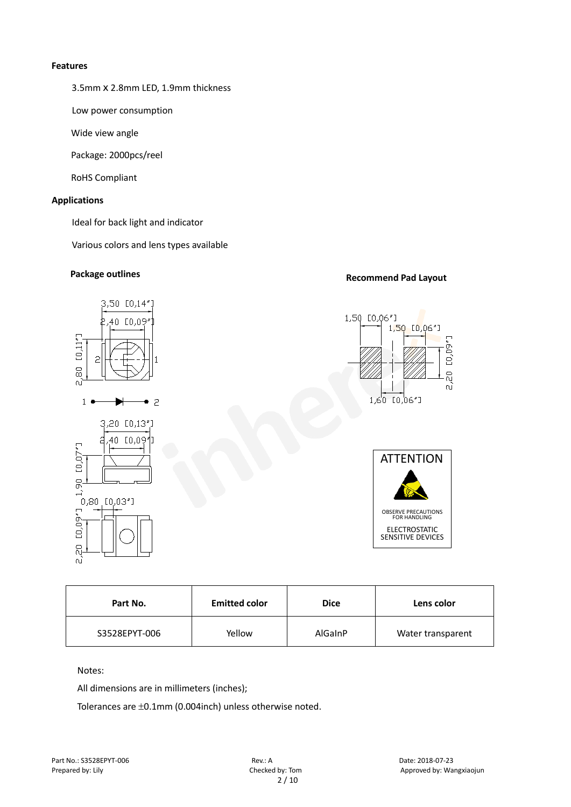#### **Features**

3.5mmⅹ2.8mm LED, 1.9mm thickness

Low power consumption

Wide view angle

Package: 2000pcs/reel

RoHS Compliant

#### **Applications**

Ideal for back light and indicator

Various colors and lens types available

## **Recommend Pad Layout Package outlines**



| Part No.      | <b>Emitted color</b> |                | Lens color        |
|---------------|----------------------|----------------|-------------------|
| S3528EPYT-006 | Yellow               | <b>AlGainP</b> | Water transparent |

Notes:

All dimensions are in millimeters (inches);

Tolerances are ±0.1mm (0.004inch) unless otherwise noted.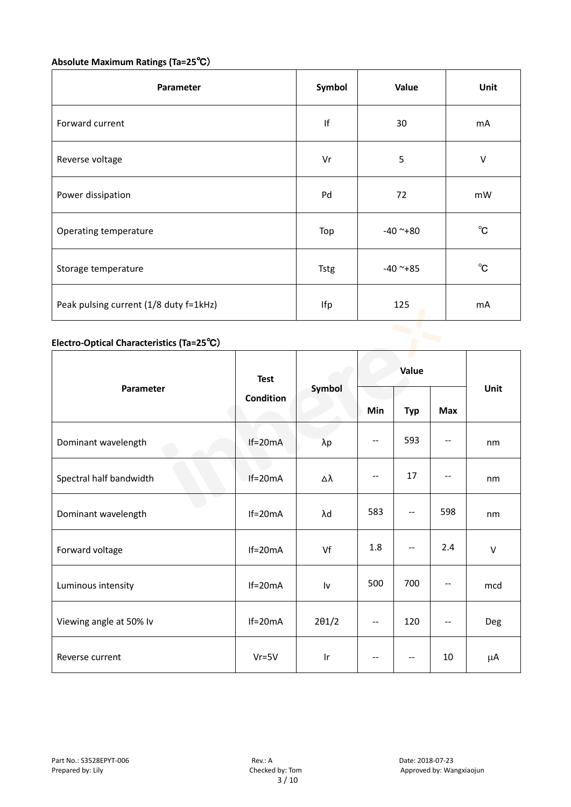# **Absolute Maximum Ratings (Ta=25**℃)

| Parameter                              | Symbol      | Value         | Unit         |
|----------------------------------------|-------------|---------------|--------------|
| Forward current                        | If          | 30            | mA           |
| Reverse voltage                        | Vr          | 5             | $\vee$       |
| Power dissipation                      | Pd          | 72            | mW           |
| Operating temperature                  | Top         | $-40$ ~+80    | $^{\circ}$ C |
| Storage temperature                    | <b>Tstg</b> | $-40$ ~ $+85$ | $^{\circ}$ C |
| Peak pulsing current (1/8 duty f=1kHz) | Ifp         | 125           | mA           |
|                                        |             |               |              |

### **Electro-Optical Characteristics (Ta=25**℃)

|                         | <b>Test</b><br><b>Condition</b> | Symbol                  | Value                    |                          |                          |        |
|-------------------------|---------------------------------|-------------------------|--------------------------|--------------------------|--------------------------|--------|
| Parameter               |                                 |                         | Min                      | <b>Typ</b>               | <b>Max</b>               | Unit   |
| Dominant wavelength     | $If=20mA$                       | $\lambda p$             | --                       | 593                      | --                       | nm     |
| Spectral half bandwidth | $If=20mA$                       | Δλ                      | $\overline{\phantom{m}}$ | 17                       |                          | nm     |
| Dominant wavelength     | $If=20mA$                       | λd                      | 583                      | $\overline{\phantom{a}}$ | 598                      | nm     |
| Forward voltage         | $If=20mA$                       | Vf                      | 1.8                      | --                       | 2.4                      | $\vee$ |
| Luminous intensity      | $If=20mA$                       | Iv                      | 500                      | 700                      |                          | mcd    |
| Viewing angle at 50% lv | $If=20mA$                       | $2\theta$ 1/2           | $-$                      | 120                      | $\overline{\phantom{a}}$ | Deg    |
| Reverse current         | $Vr = 5V$                       | $\mathsf{I} \mathsf{r}$ | $-$                      | $\qquad \qquad -$        | 10                       | μA     |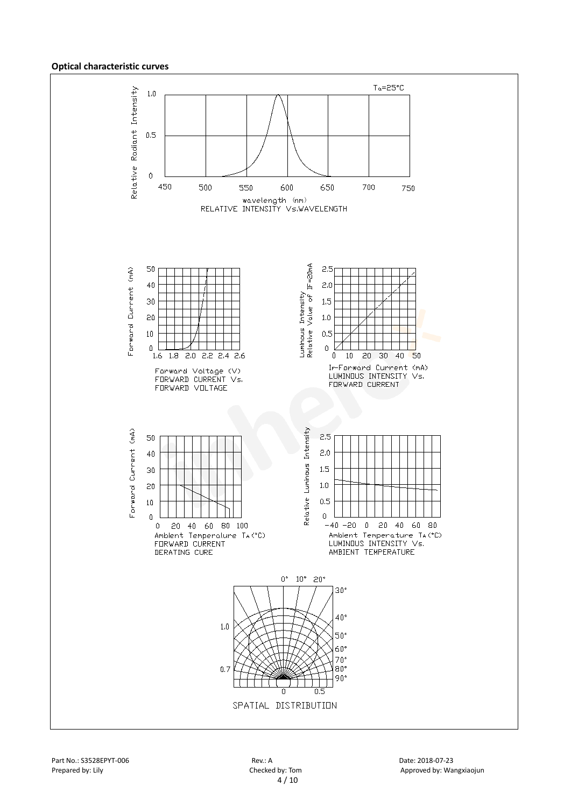#### **Optical characteristic curves**

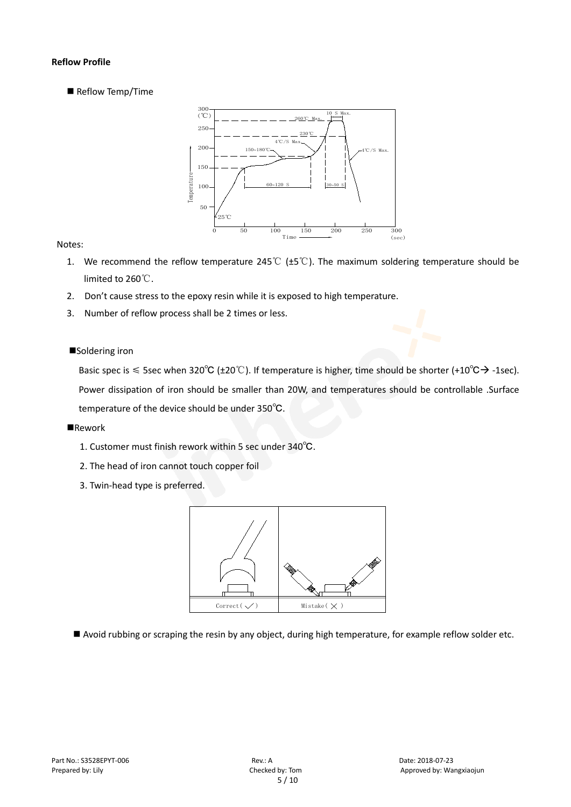#### **Reflow Profile**

Reflow Temp/Time



#### Notes:

- 1. We recommend the reflow temperature 245℃ (±5℃). The maximum soldering temperature should be limited to 260℃.
- 2. Don't cause stress to the epoxy resin while it is exposed to high temperature.
- 3. Number of reflow process shall be 2 times or less.

#### ■Soldering iron

Basic spec is  $\leq$  5sec when 320°C (±20°C). If temperature is higher, time should be shorter (+10°C $\rightarrow$ -1sec). Power dissipation of iron should be smaller than 20W, and temperatures should be controllable .Surface temperature of the device should be under 350℃.

#### **Rework**

- 1. Customer must finish rework within 5 sec under 340℃.
- 2. The head of iron cannot touch copper foil
- 3. Twin-head type is preferred.



Avoid rubbing or scraping the resin by any object, during high temperature, for example reflow solder etc.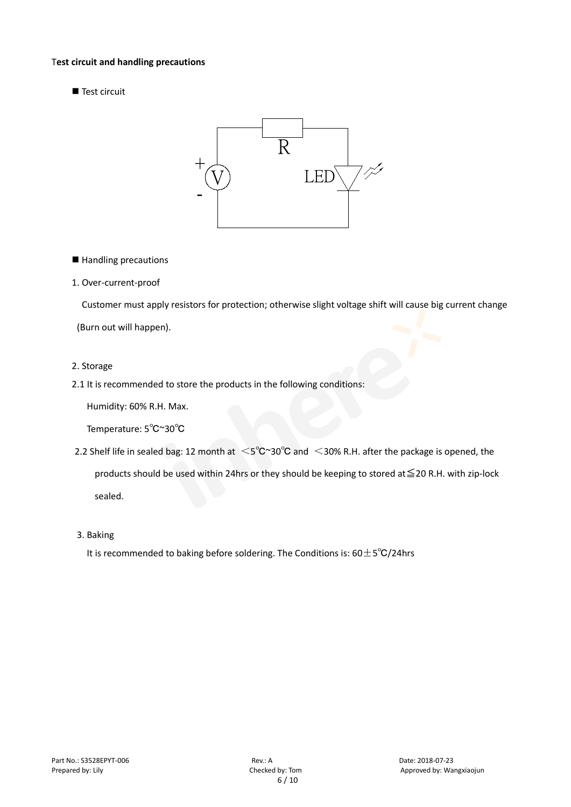#### T**est circuit and handling precautions**

■ Test circuit



■ Handling precautions

#### 1. Over-current-proof

Customer must apply resistors for protection; otherwise slight voltage shift will cause big current change (Burn out will happen).

#### 2. Storage

#### 2.1 It is recommended to store the products in the following conditions:

Humidity: 60% R.H. Max.

Temperature: 5℃~30℃

- 2.2 Shelf life in sealed bag: 12 month at <5℃~30°C and <30% R.H. after the package is opened, the products should be used within 24hrs or they should be keeping to stored at≦20 R.H. with zip-lock sealed.
- 3. Baking

It is recommended to baking before soldering. The Conditions is:  $60±5°C/24$ hrs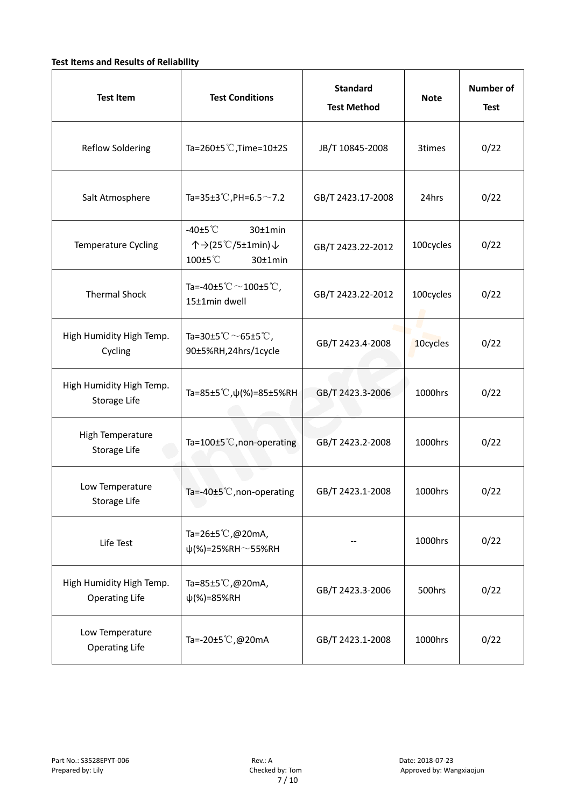#### **Test Items and Results of Reliability**

| <b>Test Item</b>                                  | <b>Standard</b><br><b>Test Conditions</b><br><b>Test Method</b>                |                                | <b>Note</b> | <b>Number of</b><br><b>Test</b> |
|---------------------------------------------------|--------------------------------------------------------------------------------|--------------------------------|-------------|---------------------------------|
| <b>Reflow Soldering</b>                           | Ta=260±5 °C, Time=10±2S                                                        | JB/T 10845-2008                |             | 0/22                            |
| Salt Atmosphere                                   | Ta=35±3°C, PH=6.5 $\sim$ 7.2<br>GB/T 2423.17-2008                              |                                | 24hrs       | 0/22                            |
| Temperature Cycling                               | -40 $\pm$ 5 $\degree$ C<br>30±1min<br>个→(25℃/5±1min)↓<br>100±5°C<br>$30±1$ min | 100cycles<br>GB/T 2423.22-2012 |             | 0/22                            |
| <b>Thermal Shock</b>                              | Ta=-40±5 $^\circ\text{C}$ $\sim$ 100±5 $^\circ\text{C}$ ,<br>15±1min dwell     | GB/T 2423.22-2012              | 100cycles   | 0/22                            |
| High Humidity High Temp.<br>Cycling               | Ta=30±5 °C $\sim$ 65±5 °C,<br>90±5%RH,24hrs/1cycle                             | GB/T 2423.4-2008               | 10cycles    | 0/22                            |
| High Humidity High Temp.<br>Storage Life          | Ta=85±5 <sup>°</sup> C, $\psi$ (%)=85±5%RH<br>GB/T 2423.3-2006                 |                                | 1000hrs     | 0/22                            |
| High Temperature<br>Storage Life                  | Ta=100 $\pm$ 5°C, non-operating                                                | GB/T 2423.2-2008               | 1000hrs     | 0/22                            |
| Low Temperature<br>Storage Life                   | Ta=-40±5 $°C$ , non-operating                                                  | GB/T 2423.1-2008               | 1000hrs     | 0/22                            |
| Life Test                                         | Ta=26±5℃,@20mA,<br>$\psi$ (%)=25%RH~55%RH                                      |                                | 1000hrs     | 0/22                            |
| High Humidity High Temp.<br><b>Operating Life</b> | Ta=85±5℃,@20mA,<br>$\psi$ (%)=85%RH                                            | GB/T 2423.3-2006               | 500hrs      | 0/22                            |
| Low Temperature<br><b>Operating Life</b>          | Ta=-20±5℃,@20mA                                                                | GB/T 2423.1-2008               | 1000hrs     | 0/22                            |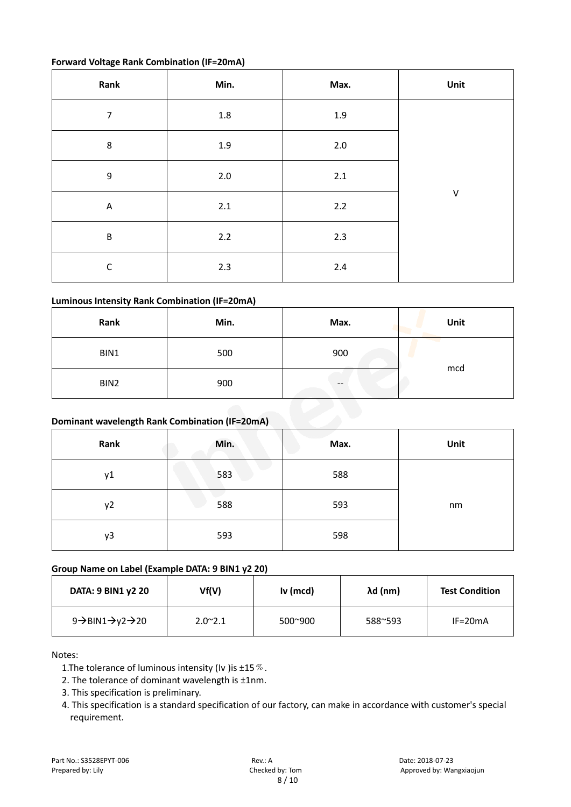#### **Forward Voltage Rank Combination (IF=20mA)**

| Rank             | Min.    | Max.    | Unit    |
|------------------|---------|---------|---------|
| $\overline{7}$   | $1.8\,$ | $1.9\,$ |         |
| $\bf 8$          | $1.9\,$ | $2.0\,$ |         |
| $\boldsymbol{9}$ | $2.0\,$ | 2.1     |         |
| $\mathsf{A}$     | $2.1\,$ | $2.2\,$ | $\sf V$ |
| $\sf B$          | $2.2$   | 2.3     |         |
| $\mathsf C$      | 2.3     | $2.4\,$ |         |

#### **Luminous Intensity Rank Combination (IF=20mA)**

| Rank | Min. | Max. | Unit |
|------|------|------|------|
| BIN1 | 500  | 900  |      |
| BIN2 | 900  | --   | mcd  |

#### **Dominant wavelength Rank Combination (IF=20mA)**

| Rank | Min. | Max. | Unit |
|------|------|------|------|
| y1   | 583  | 588  |      |
| y2   | 588  | 593  | nm   |
| y3   | 593  | 598  |      |

#### **Group Name on Label (Example DATA: 9 BIN1 y2 20)**

| DATA: 9 BIN1 y2 20                                     | Vf(V)            | $Iv$ (mcd)       | $\lambda$ d (nm) | <b>Test Condition</b> |
|--------------------------------------------------------|------------------|------------------|------------------|-----------------------|
| 9 $\rightarrow$ BIN1 $\rightarrow$ y2 $\rightarrow$ 20 | $2.0^{\circ}2.1$ | $500^{\circ}900$ | 588~593          | $IF=20mA$             |

#### Notes:

- 1. The tolerance of luminous intensity (Iv ) is  $\pm 15\%$ .
- 2. The tolerance of dominant wavelength is ±1nm.
- 3. This specification is preliminary.
- 4. This specification is a standard specification of our factory, can make in accordance with customer's special requirement.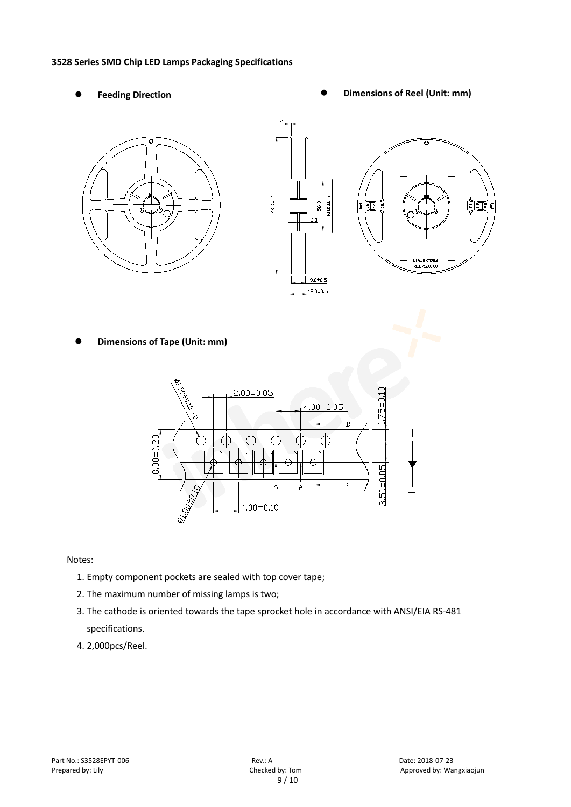#### **3528 Series SMD Chip LED Lamps Packaging Specifications**

- 
- Feeding Direction **Constanting Construction Constanting Operations Construction Constanting Construction Constanting Construction**





**Dimensions of Tape (Unit: mm)**



Notes:

- 1. Empty component pockets are sealed with top cover tape;
- 2. The maximum number of missing lamps is two;
- 3. The cathode is oriented towards the tape sprocket hole in accordance with ANSI/EIA RS-481 specifications.
- 4. 2,000pcs/Reel.